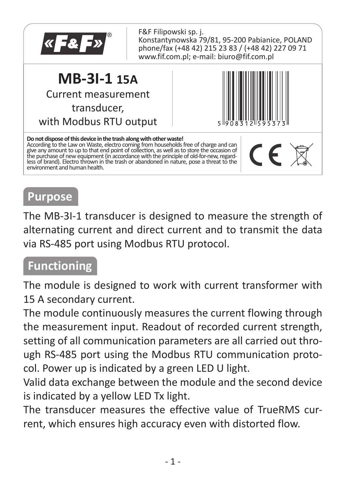

# **Purpose**

The MB-3I-1 transducer is designed to measure the strength of alternating current and direct current and to transmit the data via RS-485 port using Modbus RTU protocol.

## **Functioning**

The module is designed to work with current transformer with 15 A secondary current.

The module continuously measures the current flowing through the measurement input. Readout of recorded current strength, setting of all communication parameters are all carried out through RS-485 port using the Modbus RTU communication protocol. Power up is indicated by a green LED U light.

Valid data exchange between the module and the second device is indicated by a yellow LED Tx light.

The transducer measures the effective value of TrueRMS current, which ensures high accuracy even with distorted flow.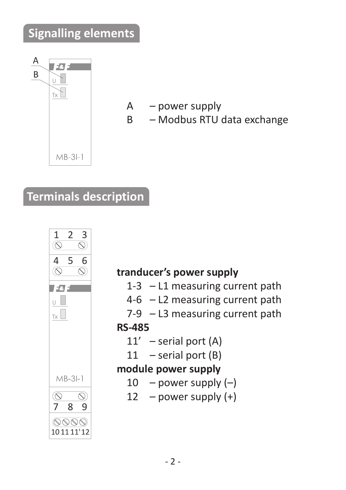# **Signalling elements**



- A power supply
- B Modbus RTU data exchange

## **Terminals description**



#### **tranducer's power supply**

- 1-3 L1 measuring current path
- 4-6 L2 measuring current path
- 7-9 L3 measuring current path

#### **RS-485**

- 11' serial port (A)
- 11 serial port (B)

#### **module power supply**

- $10 -$  power supply  $(-)$
- 12 power supply  $(+)$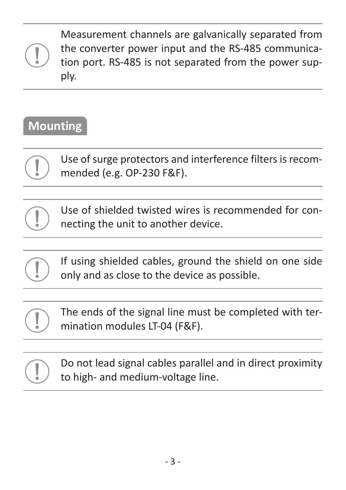Measurement channels are galvanically separated from the converter power input and the RS-485 communication port. RS-485 is not separated from the power supply.

# **Mounting**

Use of surge protectors and interference filters is recommended (e.g. OP-230 F&F).

Use of shielded twisted wires is recommended for connecting the unit to another device.

If using shielded cables, ground the shield on one side only and as close to the device as possible.

The ends of the signal line must be completed with termination modules LT-04 (F&F).

Do not lead signal cables parallel and in direct proximity to high- and medium-voltage line.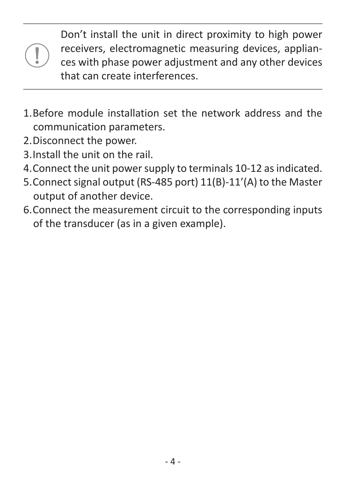Don't install the unit in direct proximity to high power receivers, electromagnetic measuring devices, appliances with phase power adjustment and any other devices that can create interferences.

- 1. Before module installation set the network address and the communication parameters.
- 2. Disconnect the power.
- 3. Install the unit on the rail.
- 4. Connect the unit power supply to terminals 10-12 as indicated.
- 5. Connect signal output (RS-485 port) 11(B)-11'(A) to the Master output of another device.
- 6. Connect the measurement circuit to the corresponding inputs of the transducer (as in a given example).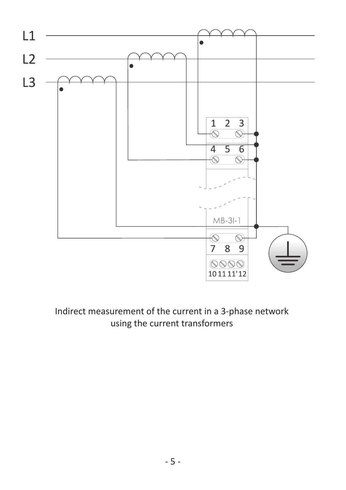

Indirect measurement of the current in a 3-phase network using the current transformers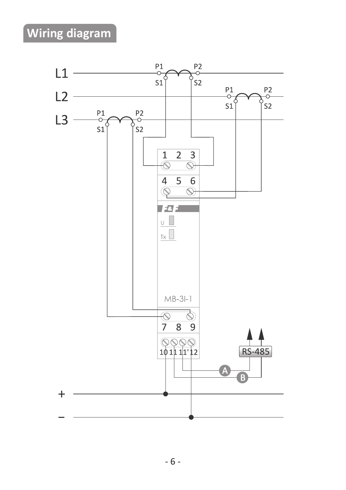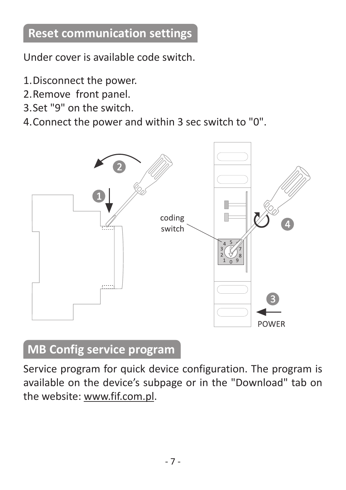# **Reset communication settings**

Under cover is available code switch.

- 1. Disconnect the power.
- 2. Remove front panel.
- 3. Set "9" on the switch.
- 4. Connect the power and within 3 sec switch to "0".



## **MB Config service program**

Service program for quick device configuration. The program is available on the device's subpage or in the "Download" tab on the website: www.fif.com.pl.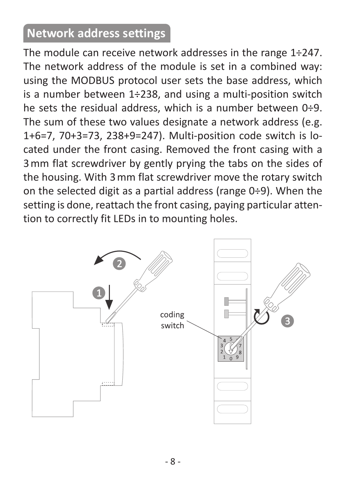# **Network address settings**

The module can receive network addresses in the range 1÷247. The network address of the module is set in a combined way: using the MODBUS protocol user sets the base address, which is a number between 1÷238, and using a multi-position switch he sets the residual address, which is a number between 0÷9. The sum of these two values designate a network address (e.g. 1+6=7, 70+3=73, 238+9=247). Multi-position code switch is located under the front casing. Removed the front casing with a 3 mm flat screwdriver by gently prying the tabs on the sides of the housing. With 3 mm flat screwdriver move the rotary switch on the selected digit as a partial address (range 0÷9). When the setting is done, reattach the front casing, paying particular attention to correctly fit LEDs in to mounting holes.

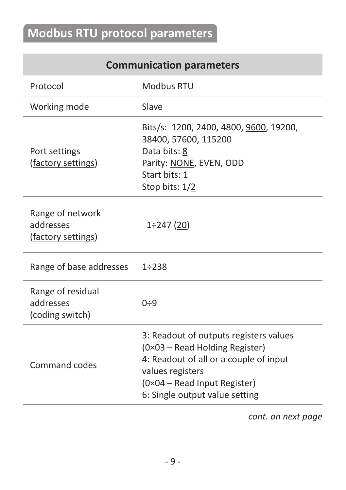# **Modbus RTU protocol parameters**

| <b>Communication parameters</b> |  |
|---------------------------------|--|
|---------------------------------|--|

| Protocol                                            | Modbus RTU                                                                                                                                                                                               |
|-----------------------------------------------------|----------------------------------------------------------------------------------------------------------------------------------------------------------------------------------------------------------|
| Working mode                                        | Slave                                                                                                                                                                                                    |
| Port settings<br>(factory settings)                 | Bits/s: 1200, 2400, 4800, 9600, 19200,<br>38400, 57600, 115200<br>Data bits: 8<br>Parity: NONE, EVEN, ODD<br>Start bits: 1<br>Stop bits: 1/2                                                             |
| Range of network<br>addresses<br>(factory settings) | $1\div 247(20)$                                                                                                                                                                                          |
| Range of base addresses                             | 1:238                                                                                                                                                                                                    |
| Range of residual<br>addresses<br>(coding switch)   | $0 + 9$                                                                                                                                                                                                  |
| Command codes                                       | 3: Readout of outputs registers values<br>(0×03 - Read Holding Register)<br>4: Readout of all or a couple of input<br>values registers<br>(0×04 - Read Input Register)<br>6: Single output value setting |

*cont. on next page*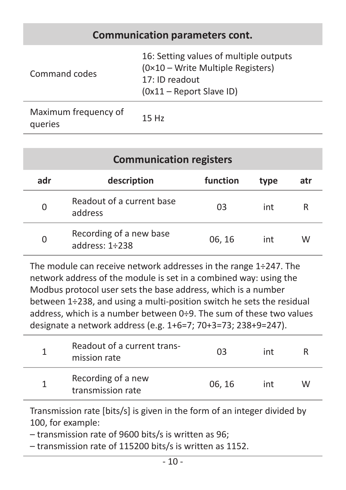### **Communication parameters cont.**

| Command codes | 16: Setting values of multiple outputs<br>(0×10 – Write Multiple Registers)<br>17: ID readout<br>(0x11 - Report Slave ID) |
|---------------|---------------------------------------------------------------------------------------------------------------------------|
|               |                                                                                                                           |

Maximum frequency of Maximum frequency of the 15 Hz

|     | <b>Communication registers</b>                  |          |      |     |
|-----|-------------------------------------------------|----------|------|-----|
| adr | description                                     | function | type | atr |
| 0   | Readout of a current base<br>address            | 03       | int  | R   |
| Ω   | Recording of a new base<br>address: $1\div 238$ | 06, 16   | int  | W   |

The module can receive network addresses in the range 1÷247. The network address of the module is set in a combined way: using the Modbus protocol user sets the base address, which is a number between 1÷238, and using a multi-position switch he sets the residual address, which is a number between 0÷9. The sum of these two values designate a network address (e.g. 1+6=7; 70+3=73; 238+9=247).

| Readout of a current trans-<br>mission rate | 03    | int |   |
|---------------------------------------------|-------|-----|---|
| Recording of a new<br>transmission rate     | 06.16 | int | W |

Transmission rate [bits/s] is given in the form of an integer divided by 100, for example:

– transmission rate of 9600 bits/s is written as 96;

– transmission rate of 115200 bits/s is written as 1152.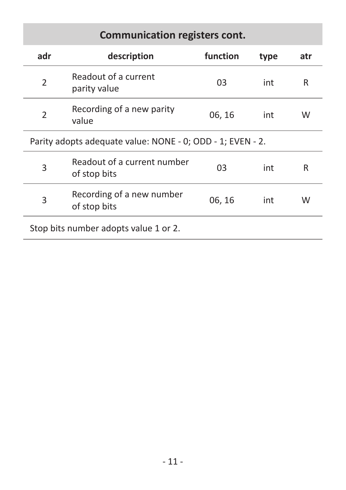# **Communication registers cont.**

| adr                                                        | description                                 | function | type | atr |
|------------------------------------------------------------|---------------------------------------------|----------|------|-----|
| $\overline{2}$                                             | Readout of a current<br>parity value        | 03       | int  | R   |
| $\overline{2}$                                             | Recording of a new parity<br>value          | 06.16    | int  | W   |
| Parity adopts adequate value: NONE - 0: ODD - 1: EVEN - 2. |                                             |          |      |     |
| 3                                                          | Readout of a current number<br>of stop bits | 03       | int  | R   |
| 3                                                          | Recording of a new number<br>of stop bits   | 06.16    | int  | W   |
| Stop bits number adopts value 1 or 2.                      |                                             |          |      |     |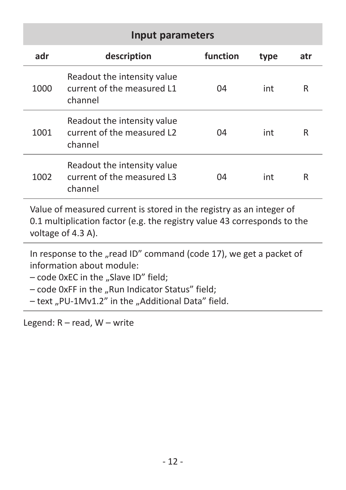#### **Input parameters**

| adr  | description                                                          | function | type | atr |
|------|----------------------------------------------------------------------|----------|------|-----|
| 1000 | Readout the intensity value<br>current of the measured L1<br>channel | 04       | int  | R   |
| 1001 | Readout the intensity value<br>current of the measured L2<br>channel | 04       | int  | R   |
| 1002 | Readout the intensity value<br>current of the measured L3<br>channel | 04       | int  | R   |

Value of measured current is stored in the registry as an integer of 0.1 multiplication factor (e.g. the registry value 43 corresponds to the voltage of 4.3 A).

In response to the "read ID" command (code 17), we get a packet of information about module:

 $-$  code 0xEC in the  $S$ lave ID" field:

– code 0xFF in the "Run Indicator Status" field;

– text "PU-1Mv1.2" in the "Additional Data" field.

Legend: R – read, W – write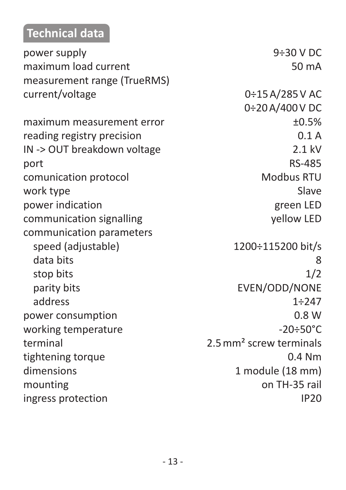# **Technical data**

power supply 9÷30 V DC maximum load current 50 mA measurement range (TrueRMS) current/voltage 0÷15 A/285 V AC 0÷20 A/400 V DC  $maximum$  measurement error  $+0.5\%$ reading registry precision and the contract of the 0.1 A IN -> OUT breakdown voltage 2.1 kV port RS-485 comunication protocol Modbus RTU work type Slave power indication and the control of the present LED communication signalling yellow LED communication parameters speed (adjustable) 1200÷115200 bit/s data bits 8 stop bits 1/2 parity bits **EVEN/ODD/NONE** address 1÷247 power consumption 0.8 W working temperature  $-20 \div 50^{\circ}$ C terminal 2.5mm<sup>2</sup> screw terminals tightening torque 0.4 Nm dimensions 1 module (18 mm) mounting on TH-35 rail ingress protection in the state of the IP20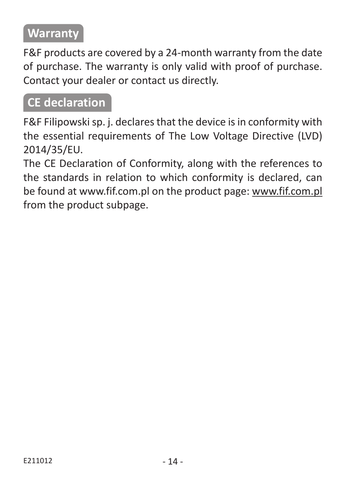# **Warranty**

F&F products are covered by a 24-month warranty from the date of purchase. The warranty is only valid with proof of purchase. Contact your dealer or contact us directly.

## **CE declaration**

F&F Filipowski sp. j. declares that the device is in conformity with the essential requirements of The Low Voltage Directive (LVD) 2014/35/EU.

The CE Declaration of Conformity, along with the references to the standards in relation to which conformity is declared, can be found at www.fif.com.pl on the product page: www.fif.com.pl from the product subpage.